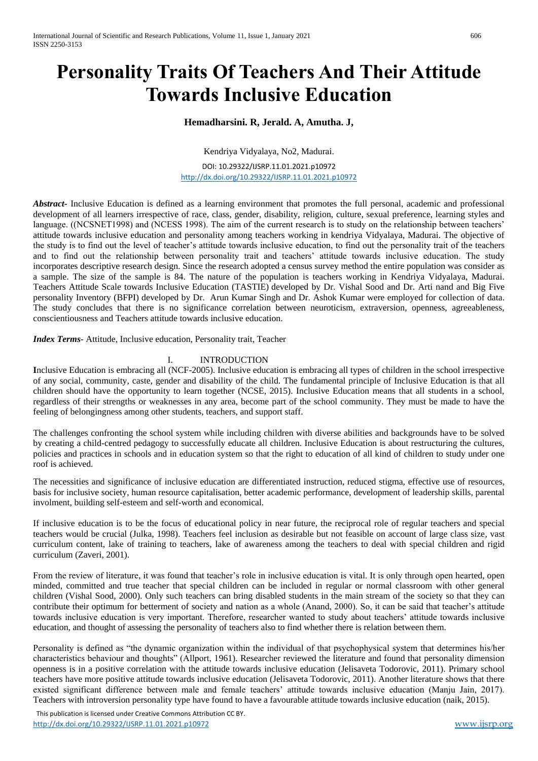# **Personality Traits Of Teachers And Their Attitude Towards Inclusive Education**

# **Hemadharsini. R, Jerald. A, Amutha. J,**

Kendriya Vidyalaya, No2, Madurai.

DOI: 10.29322/IJSRP.11.01.2021.p10972 <http://dx.doi.org/10.29322/IJSRP.11.01.2021.p10972>

*Abstract-* Inclusive Education is defined as a learning environment that promotes the full personal, academic and professional development of all learners irrespective of race, class, gender, disability, religion, culture, sexual preference, learning styles and language. ((NCSNET1998) and (NCESS 1998). The aim of the current research is to study on the relationship between teachers' attitude towards inclusive education and personality among teachers working in kendriya Vidyalaya, Madurai. The objective of the study is to find out the level of teacher's attitude towards inclusive education, to find out the personality trait of the teachers and to find out the relationship between personality trait and teachers' attitude towards inclusive education. The study incorporates descriptive research design. Since the research adopted a census survey method the entire population was consider as a sample. The size of the sample is 84. The nature of the population is teachers working in Kendriya Vidyalaya, Madurai. Teachers Attitude Scale towards Inclusive Education (TASTIE) developed by Dr. Vishal Sood and Dr. Arti nand and Big Five personality Inventory (BFPI) developed by Dr. Arun Kumar Singh and Dr. Ashok Kumar were employed for collection of data. The study concludes that there is no significance correlation between neuroticism, extraversion, openness, agreeableness, conscientiousness and Teachers attitude towards inclusive education.

*Index Terms-* Attitude, Inclusive education, Personality trait, Teacher

## I. INTRODUCTION

**I**nclusive Education is embracing all (NCF-2005). Inclusive education is embracing all types of children in the school irrespective of any social, community, caste, gender and disability of the child. The fundamental principle of Inclusive Education is that all children should have the opportunity to learn together (NCSE, 2015). Inclusive Education means that all students in a school, regardless of their strengths or weaknesses in any area, become part of the school community. They must be made to have the feeling of belongingness among other students, teachers, and support staff.

The challenges confronting the school system while including children with diverse abilities and backgrounds have to be solved by creating a child-centred pedagogy to successfully educate all children. Inclusive Education is about restructuring the cultures, policies and practices in schools and in education system so that the right to education of all kind of children to study under one roof is achieved.

The necessities and significance of inclusive education are differentiated instruction, reduced stigma, effective use of resources, basis for inclusive society, human resource capitalisation, better academic performance, development of leadership skills, parental involment, building self-esteem and self-worth and economical.

If inclusive education is to be the focus of educational policy in near future, the reciprocal role of regular teachers and special teachers would be crucial (Julka, 1998). Teachers feel inclusion as desirable but not feasible on account of large class size, vast curriculum content, lake of training to teachers, lake of awareness among the teachers to deal with special children and rigid curriculum (Zaveri, 2001).

From the review of literature, it was found that teacher's role in inclusive education is vital. It is only through open hearted, open minded, committed and true teacher that special children can be included in regular or normal classroom with other general children (Vishal Sood, 2000). Only such teachers can bring disabled students in the main stream of the society so that they can contribute their optimum for betterment of society and nation as a whole (Anand, 2000). So, it can be said that teacher's attitude towards inclusive education is very important. Therefore, researcher wanted to study about teachers' attitude towards inclusive education, and thought of assessing the personality of teachers also to find whether there is relation between them.

Personality is defined as "the dynamic organization within the individual of that psychophysical system that determines his/her characteristics behaviour and thoughts" (Allport, 1961). Researcher reviewed the literature and found that personality dimension openness is in a positive correlation with the attitude towards inclusive education (Jelisaveta Todorovic, 2011). Primary school teachers have more positive attitude towards inclusive education (Jelisaveta Todorovic, 2011). Another literature shows that there existed significant difference between male and female teachers' attitude towards inclusive education (Manju Jain, 2017). Teachers with introversion personality type have found to have a favourable attitude towards inclusive education (naik, 2015).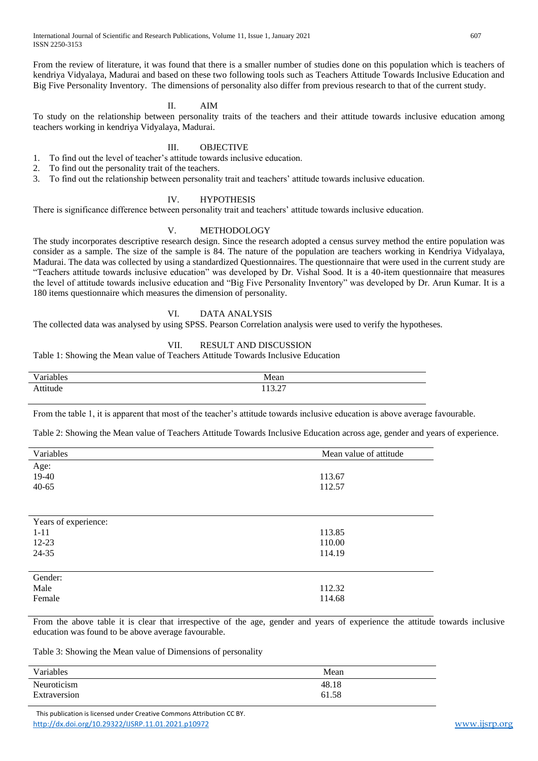From the review of literature, it was found that there is a smaller number of studies done on this population which is teachers of kendriya Vidyalaya, Madurai and based on these two following tools such as Teachers Attitude Towards Inclusive Education and Big Five Personality Inventory. The dimensions of personality also differ from previous research to that of the current study.

# II. AIM

To study on the relationship between personality traits of the teachers and their attitude towards inclusive education among teachers working in kendriya Vidyalaya, Madurai.

# III. OBJECTIVE

- 1. To find out the level of teacher's attitude towards inclusive education.
- 2. To find out the personality trait of the teachers.
- 3. To find out the relationship between personality trait and teachers' attitude towards inclusive education.

#### IV. HYPOTHESIS

There is significance difference between personality trait and teachers' attitude towards inclusive education.

#### V. METHODOLOGY

The study incorporates descriptive research design. Since the research adopted a census survey method the entire population was consider as a sample. The size of the sample is 84. The nature of the population are teachers working in Kendriya Vidyalaya, Madurai. The data was collected by using a standardized Questionnaires. The questionnaire that were used in the current study are "Teachers attitude towards inclusive education" was developed by Dr. Vishal Sood. It is a 40-item questionnaire that measures the level of attitude towards inclusive education and "Big Five Personality Inventory" was developed by Dr. Arun Kumar. It is a 180 items questionnaire which measures the dimension of personality.

## VI. DATA ANALYSIS

The collected data was analysed by using SPSS. Pearson Correlation analysis were used to verify the hypotheses.

## VII. RESULT AND DISCUSSION

Table 1: Showing the Mean value of Teachers Attitude Towards Inclusive Education

| Variables |                   |
|-----------|-------------------|
|           | Mean              |
| 'tude     | 112.27<br>11 J.J. |

From the table 1, it is apparent that most of the teacher's attitude towards inclusive education is above average favourable.

Table 2: Showing the Mean value of Teachers Attitude Towards Inclusive Education across age, gender and years of experience.

| Variables            | Mean value of attitude |  |
|----------------------|------------------------|--|
| Age:                 |                        |  |
| 19-40                | 113.67                 |  |
| $40 - 65$            | 112.57                 |  |
|                      |                        |  |
|                      |                        |  |
| Years of experience: |                        |  |
| $1 - 11$             | 113.85                 |  |
| 12-23                | 110.00                 |  |
| 24-35                | 114.19                 |  |
|                      |                        |  |
| Gender:              |                        |  |
| Male                 | 112.32                 |  |
| Female               | 114.68                 |  |

From the above table it is clear that irrespective of the age, gender and years of experience the attitude towards inclusive education was found to be above average favourable.

Table 3: Showing the Mean value of Dimensions of personality

| Variables    | Mean  |
|--------------|-------|
| Neuroticism  | 48.18 |
| Extraversion | 61.58 |

 This publication is licensed under Creative Commons Attribution CC BY. <http://dx.doi.org/10.29322/IJSRP.11.01.2021.p10972> [www.ijsrp.org](http://ijsrp.org/)